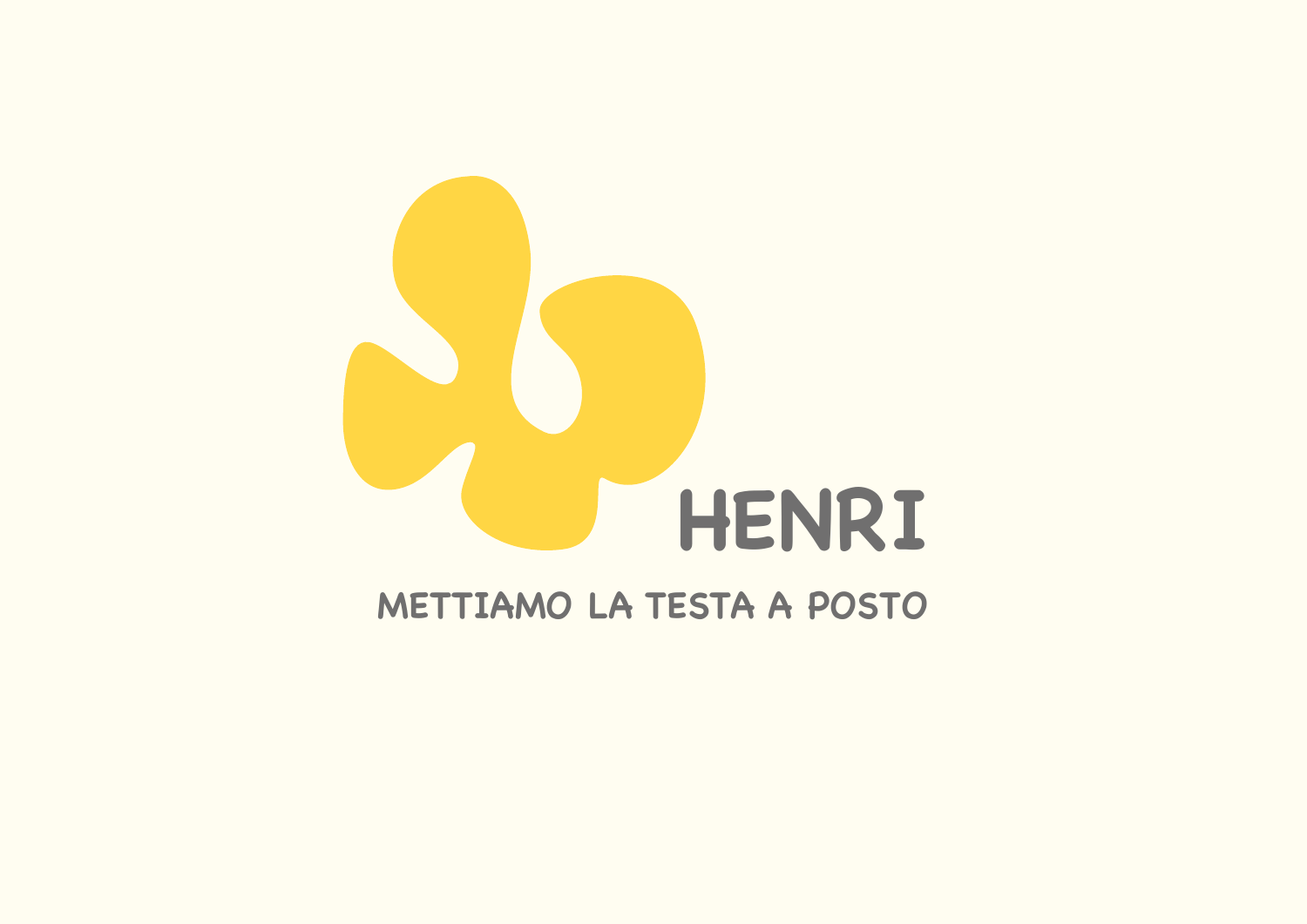

## **METTIAMO LA TESTA A POSTO**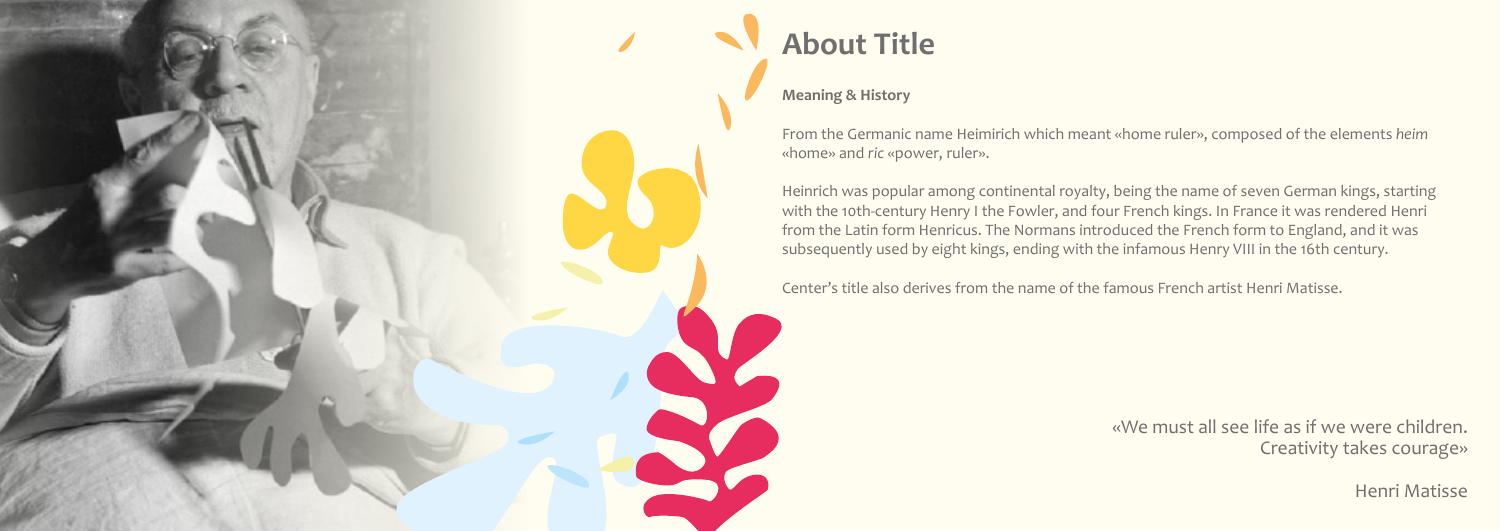

## **About Title**

### **Meaning & History**

From the Germanic name Heimirich which meant «home ruler», composed of the elements *heim* «home» and *ric* «power, ruler».

Heinrich was popular among continental royalty, being the name of seven German kings, starting with the 10th-century Henry I the Fowler, and four French kings. In France it was rendered Henri from the Latin form Henricus. The Normans introduced the French form to England, and it was subsequently used by eight kings, ending with the infamous Henry VIII in the 16th century.

Center's title also derives from the name of the famous French artist Henri Matisse.

«We must all see life as if we were children. Creativity takes courage»

Henri Matisse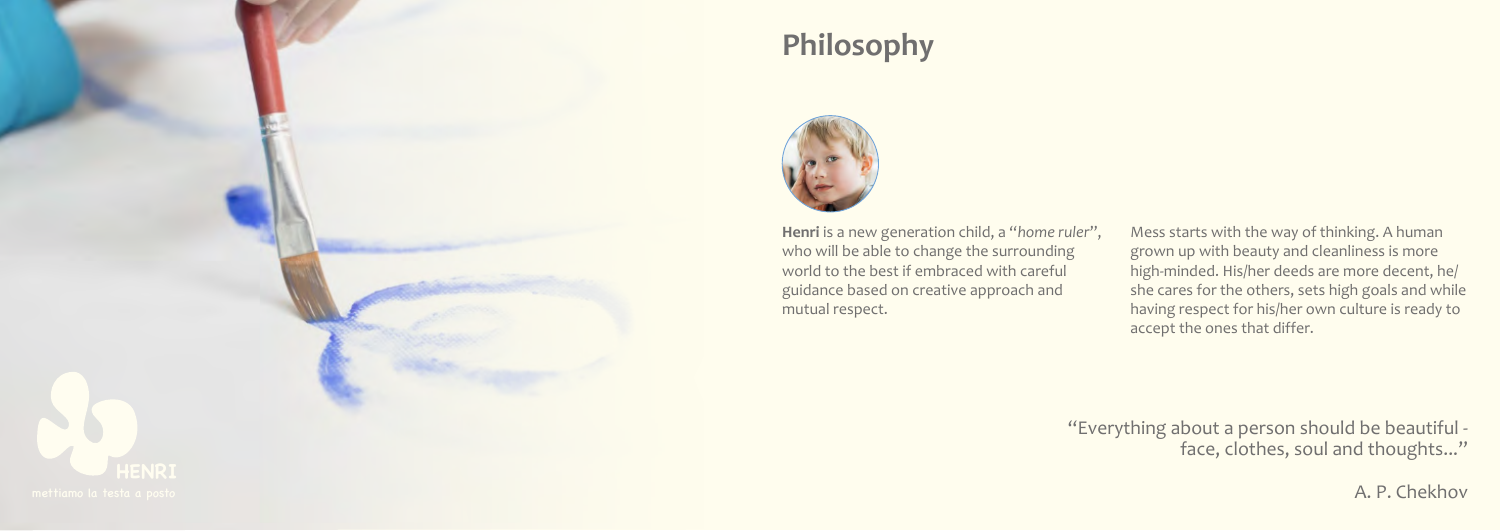## **Philosophy**

**Henri** is a new generation child, a "*home ruler*", who will be able to change the surrounding world to the best if embraced with careful guidance based on creative approach and

> "Everything about a person should be beautiful face, clothes, soul and thoughts..."

Mess starts with the way of thinking. A human grown up with beauty and cleanliness is more high-minded. His/her deeds are more decent, he/ she cares for the others, sets high goals and while having respect for his/her own culture is ready to accept the ones that differ.

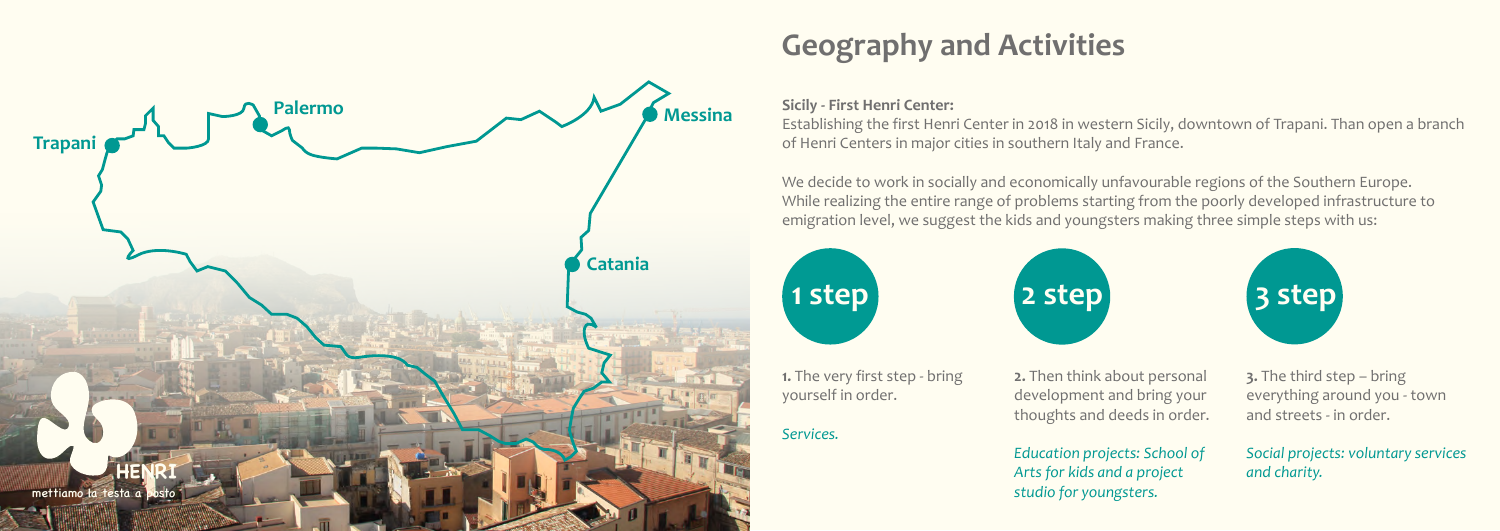# **Geography and Activities**

### **Sicily - First Henri Center:**

Establishing the first Henri Center in 2018 in western Sicily, downtown of Trapani. Than open a branch of Henri Centers in major cities in southern Italy and France.

We decide to work in socially and economically unfavourable regions of the Southern Europe. While realizing the entire range of problems starting from the poorly developed infrastructure to emigration level, we suggest the kids and youngsters making three simple steps with us:



**1.** The very first step - bring

**2.** Then think about personal development and bring your thoughts and deeds in order.

*Education projects: School of Arts for kids and a project studio for youngsters.*



**3.** The third step – bring everything around you - town and streets - in order.

*Social projects: voluntary services and charity.*

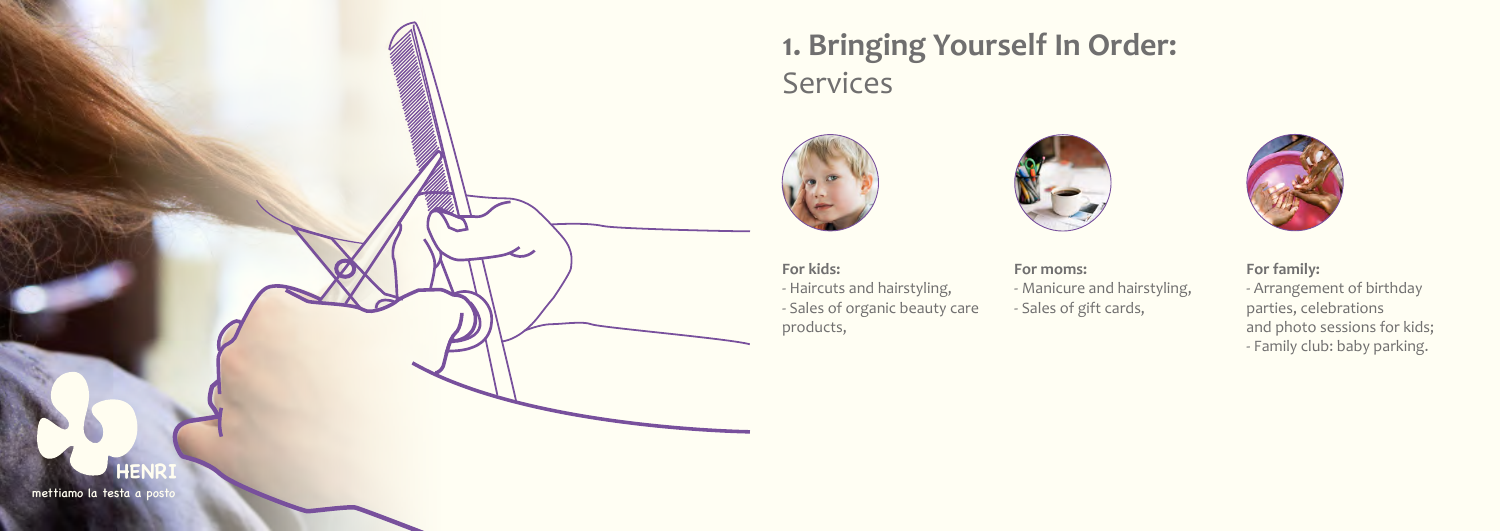

**For kids:**

- Haircuts and hairstyling, - Sales of organic beauty care products,



**For moms:**

- Manicure and hairstyling,
- Sales of gift cards,



**For family:**

- Arrangement of birthday parties, celebrations and photo sessions for kids; - Family club: baby parking.

mettiamo la testa a posto

## **1. Bringing Yourself In Order: Services**

## **HENRI**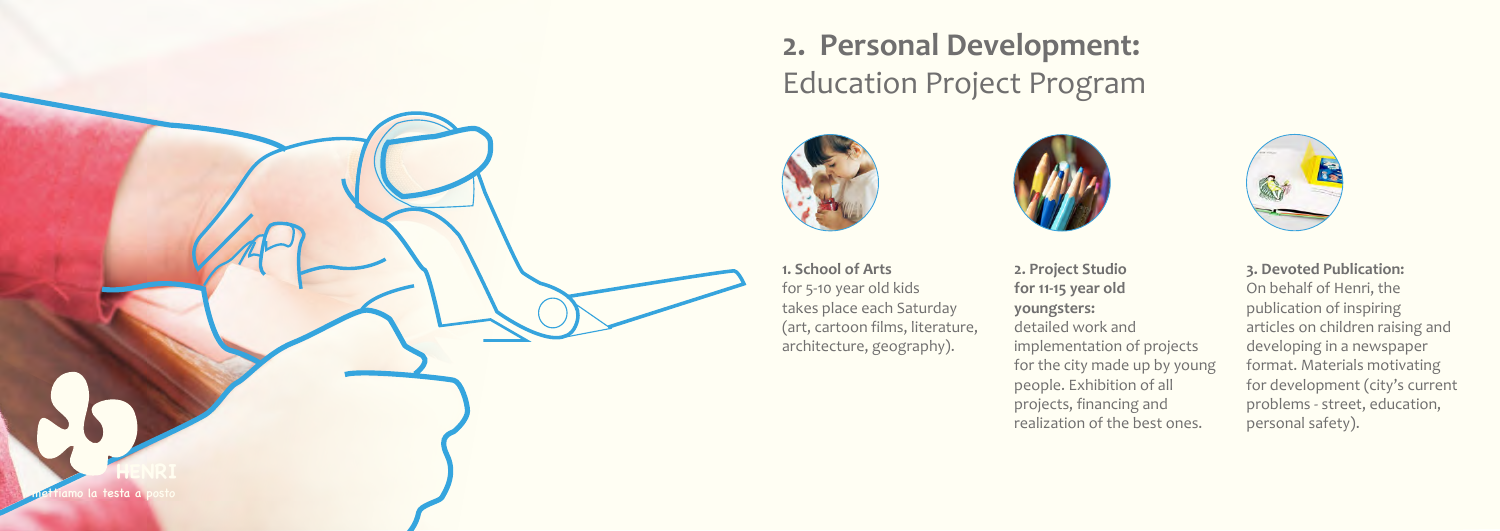## **2. Personal Development:** Education Project Program

for 5-10 year old kids takes place each Saturday (art, cartoon films, literature, architecture, geography).



**2. Project Studio for 11-15 year old youngsters:**  detailed work and implementation of projects for the city made up by young people. Exhibition of all projects, financing and realization of the best ones.





**3. Devoted Publication:**

On behalf of Henri, the publication of inspiring articles on children raising and developing in a newspaper format. Materials motivating for development (city's current problems - street, education, personal safety).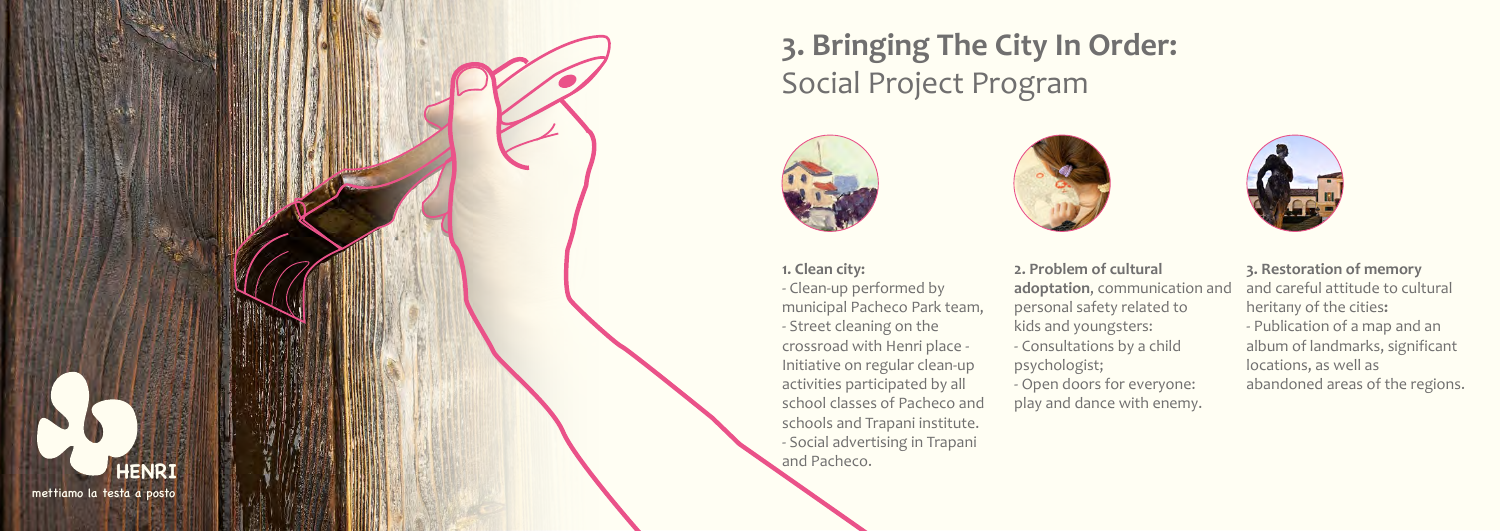# **3. Bringing The City In Order:** Social Project Program

- Clean-up performed by municipal Pacheco Park team, - Street cleaning on the crossroad with Henri place - Initiative on regular clean-up activities participated by all school classes of Pacheco and schools and Trapani institute. - Social advertising in Trapani





- **2. Problem of cultural adoptation**, communication and personal safety related to kids and youngsters:
- Consultations by a child psychologist;
- Open doors for everyone: play and dance with enemy.



- **3. Restoration of memory** and careful attitude to cultural heritaпу of the cities**:**
- Publication of a map and an album of landmarks, significant locations, as well as abandoned areas of the regions.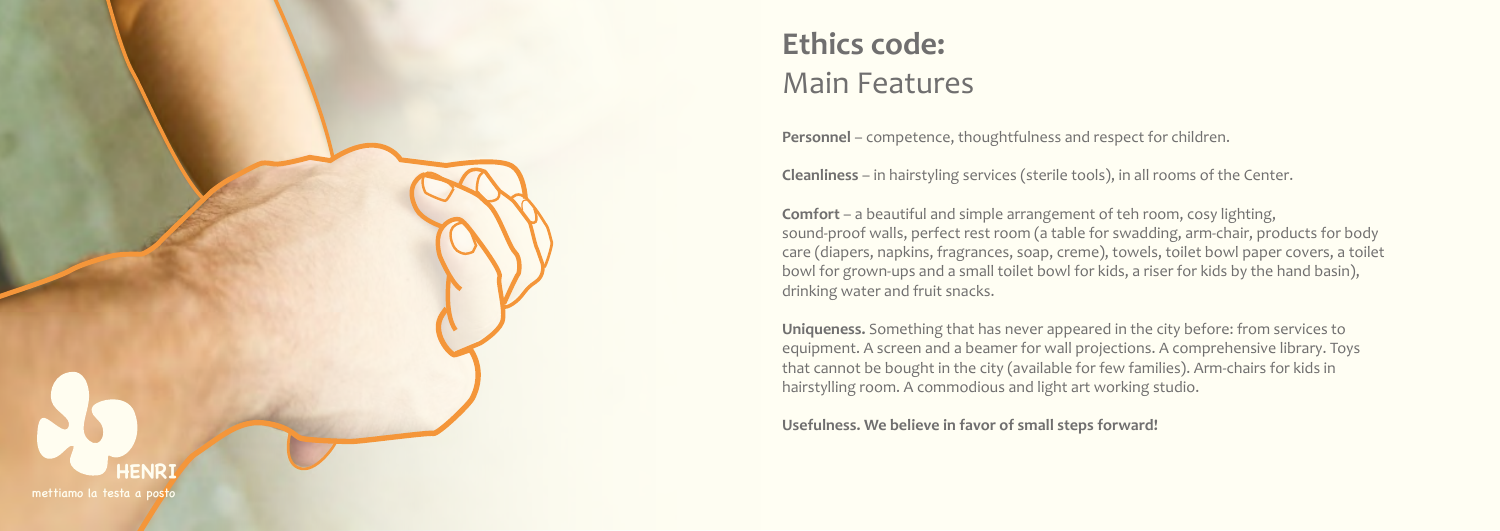# **Ethics code:** Main Features

**Personnel** – competence, thoughtfulness and respect for children.

**Cleanliness** – in hairstyling services (sterile tools), in all rooms of the Center.

**Comfort** – a beautiful and simple arrangement of teh room, cosy lighting, sound-proof walls, perfect rest room (a table for swadding, arm-chair, products for body care (diapers, napkins, fragrances, soap, creme), towels, toilet bowl paper covers, a toilet bowl for grown-ups and a small toilet bowl for kids, a riser for kids by the hand basin), drinking water and fruit snacks.

**Uniqueness.** Something that has never appeared in the city before: from services to equipment. A screen and a beamer for wall projections. A comprehensive library. Toys that cannot be bought in the city (available for few families). Arm-chairs for kids in hairstylling room. A commodious and light art working studio.

**Usefulness. We believe in favor of small steps forward!**